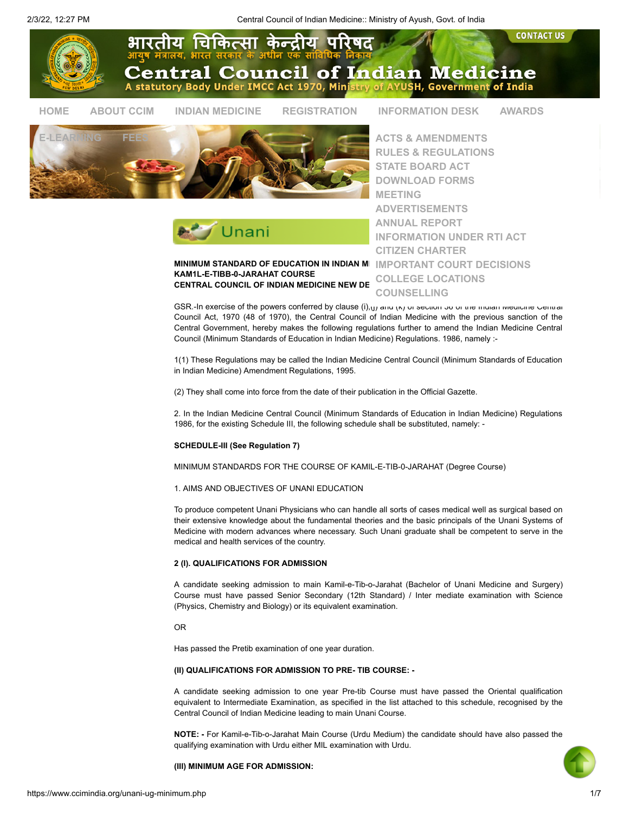

MINIMUM STANDARD OF EDUCATION IN INDIAN ME [IMPORTANT COURT DECISIONS](https://www.ccimindia.org/important_court_decisions.php). KAM1L-E-TIBB-0-JARAHAT COURSE CENTRAL COUNCIL OF INDIAN MEDICINE NEW DE

[INFORMATION UNDER RTI ACT](https://www.ccimindia.org/rti.php) [CITIZEN CHARTER](https://www.ccimindia.org/citizen-charter.php) [COLLEGE LOCATIONS](https://www.ccimindia.org/college_locations.php) [COUNSELLING](https://www.ccimindia.org/counselling.php)

GSR.-In exercise of the powers conferred by clause (i),(j) and (k) or section 36 or the indian Medicine Central Council Act, 1970 (48 of 1970), the Central Council of Indian Medicine with the previous sanction of the Central Government, hereby makes the following regulations further to amend the Indian Medicine Central Council (Minimum Standards of Education in Indian Medicine) Regulations. 1986, namely :-

1(1) These Regulations may be called the Indian Medicine Central Council (Minimum Standards of Education in Indian Medicine) Amendment Regulations, 1995.

(2) They shall come into force from the date of their publication in the Official Gazette.

2. In the Indian Medicine Central Council (Minimum Standards of Education in Indian Medicine) Regulations 1986, for the existing Schedule III, the following schedule shall be substituted, namely: -

# SCHEDULE-III (See Regulation 7)

MINIMUM STANDARDS FOR THE COURSE OF KAMIL-E-TIB-0-JARAHAT (Degree Course)

1. AIMS AND OBJECTIVES OF UNANI EDUCATION

To produce competent Unani Physicians who can handle all sorts of cases medical well as surgical based on their extensive knowledge about the fundamental theories and the basic principals of the Unani Systems of Medicine with modern advances where necessary. Such Unani graduate shall be competent to serve in the medical and health services of the country.

### 2 (I). QUALIFICATIONS FOR ADMISSION

A candidate seeking admission to main Kamil-e-Tib-o-Jarahat (Bachelor of Unani Medicine and Surgery) Course must have passed Senior Secondary (12th Standard) / Inter mediate examination with Science (Physics, Chemistry and Biology) or its equivalent examination.

OR

Has passed the Pretib examination of one year duration.

### (II) QUALIFICATIONS FOR ADMISSION TO PRE- TIB COURSE: -

A candidate seeking admission to one year Pre-tib Course must have passed the Oriental qualification equivalent to Intermediate Examination, as specified in the list attached to this schedule, recognised by the Central Council of Indian Medicine leading to main Unani Course.

NOTE: - For Kamil-e-Tib-o-Jarahat Main Course (Urdu Medium) the candidate should have also passed the qualifying examination with Urdu either MIL examination with Urdu.

(III) MINIMUM AGE FOR ADMISSION: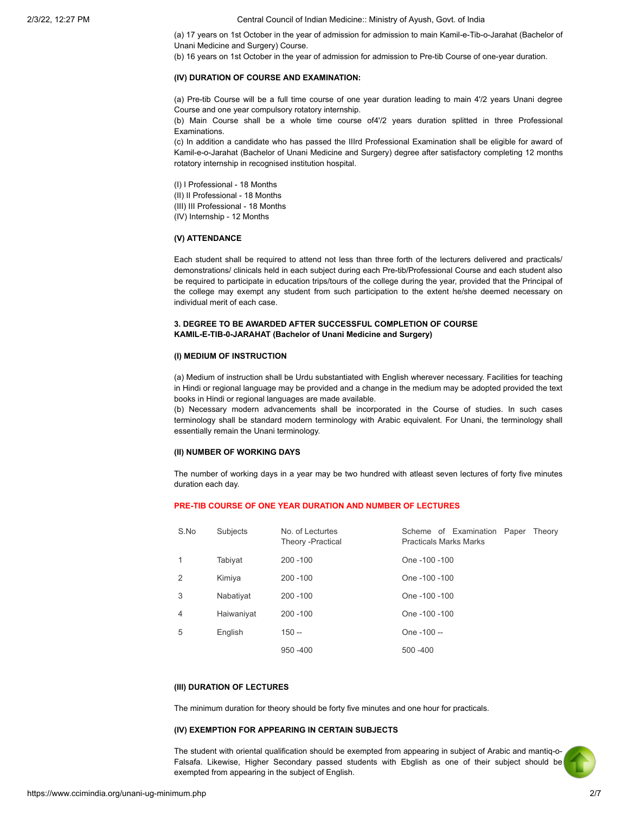(a) 17 years on 1st October in the year of admission for admission to main Kamil-e-Tib-o-Jarahat (Bachelor of Unani Medicine and Surgery) Course.

(b) 16 years on 1st October in the year of admission for admission to Pre-tib Course of one-year duration.

#### (IV) DURATION OF COURSE AND EXAMINATION:

(a) Pre-tib Course will be a full time course of one year duration leading to main 4'/2 years Unani degree Course and one year compulsory rotatory internship.

(b) Main Course shall be a whole time course of4'/2 years duration splitted in three Professional Examinations.

(c) In addition a candidate who has passed the IIIrd Professional Examination shall be eligible for award of Kamil-e-o-Jarahat (Bachelor of Unani Medicine and Surgery) degree after satisfactory completing 12 months rotatory internship in recognised institution hospital.

(I) I Professional - 18 Months (II) II Professional - 18 Months (III) III Professional - 18 Months (IV) Internship - 12 Months

### (V) ATTENDANCE

Each student shall be required to attend not less than three forth of the lecturers delivered and practicals/ demonstrations/ clinicals held in each subject during each Pre-tib/Professional Course and each student also be required to participate in education trips/tours of the college during the year, provided that the Principal of the college may exempt any student from such participation to the extent he/she deemed necessary on individual merit of each case.

## 3. DEGREE TO BE AWARDED AFTER SUCCESSFUL COMPLETION OF COURSE KAMIL-E-TIB-0-JARAHAT (Bachelor of Unani Medicine and Surgery)

## (I) MEDIUM OF INSTRUCTION

(a) Medium of instruction shall be Urdu substantiated with English wherever necessary. Facilities for teaching in Hindi or regional language may be provided and a change in the medium may be adopted provided the text books in Hindi or regional languages are made available.

(b) Necessary modern advancements shall be incorporated in the Course of studies. In such cases terminology shall be standard modern terminology with Arabic equivalent. For Unani, the terminology shall essentially remain the Unani terminology.

#### (II) NUMBER OF WORKING DAYS

The number of working days in a year may be two hundred with atleast seven lectures of forty five minutes duration each day.

## PRE-TIB COURSE OF ONE YEAR DURATION AND NUMBER OF LECTURES

| S.No           | Subjects   | No. of Lecturtes<br>Theory -Practical | Scheme of Examination Paper<br>Theory<br><b>Practicals Marks Marks</b> |
|----------------|------------|---------------------------------------|------------------------------------------------------------------------|
| 1              | Tabiyat    | $200 - 100$                           | One -100 -100                                                          |
| 2              | Kimiya     | $200 - 100$                           | One -100 -100                                                          |
| 3              | Nabativat  | $200 - 100$                           | One -100 -100                                                          |
| $\overline{4}$ | Haiwaniyat | $200 - 100$                           | One -100 -100                                                          |
| 5              | English    | $150 -$                               | One -100 --                                                            |
|                |            | $950 - 400$                           | $500 - 400$                                                            |

### (III) DURATION OF LECTURES

The minimum duration for theory should be forty five minutes and one hour for practicals.

### (IV) EXEMPTION FOR APPEARING IN CERTAIN SUBJECTS

The student with oriental qualification should be exempted from appearing in subject of Arabic and mantiq-o-Falsafa. Likewise, Higher Secondary passed students with Ebglish as one of their subject should be exempted from appearing in the subject of English.

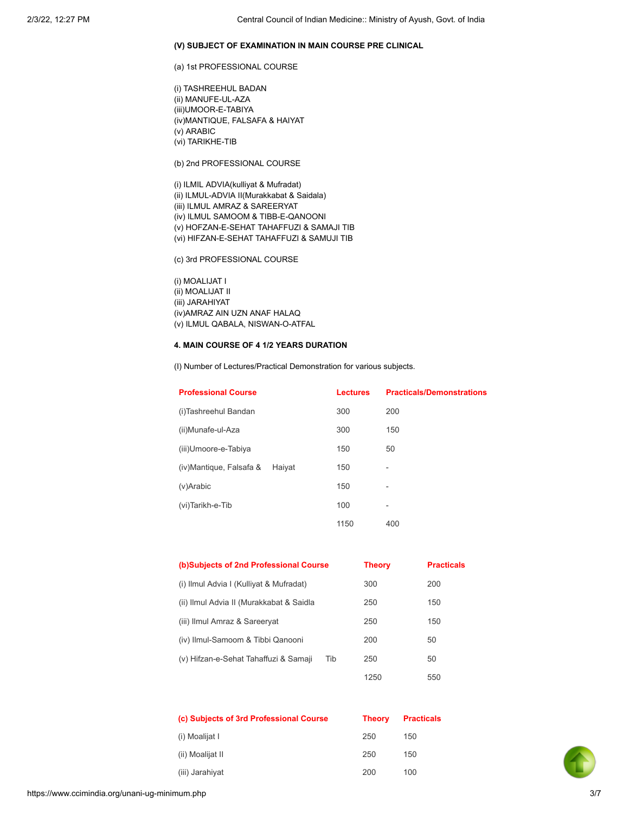### (V) SUBJECT OF EXAMINATION IN MAIN COURSE PRE CLINICAL

(a) 1st PROFESSIONAL COURSE

(i) TASHREEHUL BADAN (ii) MANUFE-UL-AZA (iii)UMOOR-E-TABIYA (iv)MANTIQUE, FALSAFA & HAIYAT (v) ARABIC (vi) TARIKHE-TIB

(b) 2nd PROFESSIONAL COURSE

(i) ILMIL ADVIA(kulliyat & Mufradat) (ii) ILMUL-ADVIA II(Murakkabat & Saidala) (iii) ILMUL AMRAZ & SAREERYAT (iv) ILMUL SAMOOM & TIBB-E-QANOONI (v) HOFZAN-E-SEHAT TAHAFFUZI & SAMAJI TIB (vi) HIFZAN-E-SEHAT TAHAFFUZI & SAMUJI TIB

(c) 3rd PROFESSIONAL COURSE

(i) MOALIJAT I (ii) MOALIJAT II (iii) JARAHIYAT (iv)AMRAZ AIN UZN ANAF HALAQ (v) ILMUL QABALA, NISWAN-O-ATFAL

# 4. MAIN COURSE OF 4 1/2 YEARS DURATION

(I) Number of Lectures/Practical Demonstration for various subjects.

| <b>Professional Course</b> |        | <b>Lectures</b> | <b>Practicals/Demonstrations</b> |
|----------------------------|--------|-----------------|----------------------------------|
| (i)Tashreehul Bandan       |        | 300             | 200                              |
| (ii)Munafe-ul-Aza          |        | 300             | 150                              |
| (iii)Umoore-e-Tabiya       |        | 150             | 50                               |
| (iv) Mantique, Falsafa &   | Haiyat | 150             | $\overline{a}$                   |
| (v)Arabic                  |        | 150             | $\overline{a}$                   |
| (vi)Tarikh-e-Tib           |        | 100             | -                                |
|                            |        | 1150            | 400                              |

| (b)Subjects of 2nd Professional Course   |     | <b>Theory</b> | <b>Practicals</b> |
|------------------------------------------|-----|---------------|-------------------|
| (i) Ilmul Advia I (Kulliyat & Mufradat)  |     | 300           | 200               |
| (ii) Ilmul Advia II (Murakkabat & Saidla |     | 250           | 150               |
| (iii) Ilmul Amraz & Sareeryat            |     | 250           | 150               |
| (iv) Ilmul-Samoom & Tibbi Qanooni        |     | 200           | 50                |
| (v) Hifzan-e-Sehat Tahaffuzi & Samaji    | Tib | 250           | 50                |
|                                          |     | 1250          | 550               |

| (c) Subjects of 3rd Professional Course | <b>Theory</b> | <b>Practicals</b> |
|-----------------------------------------|---------------|-------------------|
| (i) Moalijat I                          | 250           | 150               |
| (ii) Moalijat II                        | 250           | 150               |
| (iii) Jarahiyat                         | 200           | 100               |

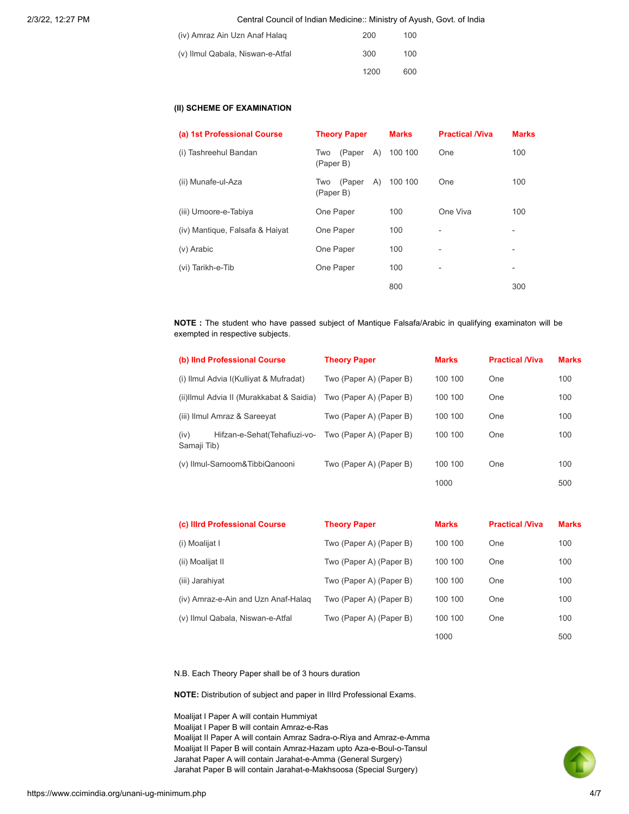| (iv) Amraz Ain Uzn Anaf Halag    | 200  | 100 |
|----------------------------------|------|-----|
| (v) Ilmul Qabala, Niswan-e-Atfal | 300  | 100 |
|                                  | 1200 | 600 |

# (II) SCHEME OF EXAMINATION

| (a) 1st Professional Course     | <b>Theory Paper</b>        |     | <b>Marks</b> | <b>Practical /Viva</b> | <b>Marks</b>             |
|---------------------------------|----------------------------|-----|--------------|------------------------|--------------------------|
| (i) Tashreehul Bandan           | (Paper<br>Two<br>(Paper B) | (A) | 100 100      | One                    | 100                      |
| (ii) Munafe-ul-Aza              | (Paper<br>Two<br>(Paper B) | A)  | 100 100      | One                    | 100                      |
| (iii) Umoore-e-Tabiya           | One Paper                  |     | 100          | One Viva               | 100                      |
| (iv) Mantique, Falsafa & Haiyat | One Paper                  |     | 100          | -                      | -                        |
| (v) Arabic                      | One Paper                  |     | 100          | -                      | -                        |
| (vi) Tarikh-e-Tib               | One Paper                  |     | 100          | -                      | $\overline{\phantom{0}}$ |
|                                 |                            |     | 800          |                        | 300                      |

NOTE : The student who have passed subject of Mantique Falsafa/Arabic in qualifying examinaton will be exempted in respective subjects.

| (b) IInd Professional Course              |                               | <b>Theory Paper</b>     | <b>Marks</b> | <b>Practical /Viva</b> | <b>Marks</b> |
|-------------------------------------------|-------------------------------|-------------------------|--------------|------------------------|--------------|
| (i) Ilmul Advia I(Kulliyat & Mufradat)    |                               | Two (Paper A) (Paper B) | 100 100      | One                    | 100          |
| (ii) Ilmul Advia II (Murakkabat & Saidia) |                               | Two (Paper A) (Paper B) | 100 100      | One                    | 100          |
|                                           | (iii) Ilmul Amraz & Sareeyat  | Two (Paper A) (Paper B) | 100 100      | One                    | 100          |
| (iv)<br>Samaji Tib)                       | Hifzan-e-Sehat (Tehafiuzi-vo- | Two (Paper A) (Paper B) | 100 100      | One                    | 100          |
| (v) Ilmul-Samoom&TibbiQanooni             |                               | Two (Paper A) (Paper B) | 100 100      | One                    | 100          |
|                                           |                               |                         | 1000         |                        | 500          |

| (c) Illrd Professional Course       | <b>Theory Paper</b>     | <b>Marks</b> | <b>Practical /Viva</b> | <b>Marks</b> |
|-------------------------------------|-------------------------|--------------|------------------------|--------------|
| (i) Moalijat I                      | Two (Paper A) (Paper B) | 100 100      | One                    | 100          |
| (ii) Moalijat II                    | Two (Paper A) (Paper B) | 100 100      | One                    | 100          |
| (iii) Jarahiyat                     | Two (Paper A) (Paper B) | 100 100      | One                    | 100          |
| (iv) Amraz-e-Ain and Uzn Anaf-Halag | Two (Paper A) (Paper B) | 100 100      | One                    | 100          |
| (v) Ilmul Qabala, Niswan-e-Atfal    | Two (Paper A) (Paper B) | 100 100      | One                    | 100          |
|                                     |                         | 1000         |                        | 500          |

N.B. Each Theory Paper shall be of 3 hours duration

NOTE: Distribution of subject and paper in IIIrd Professional Exams.

Moalijat I Paper A will contain Hummiyat Moalijat I Paper B will contain Amraz-e-Ras Moalijat II Paper A will contain Amraz Sadra-o-Riya and Amraz-e-Amma Moalijat II Paper B will contain Amraz-Hazam upto Aza-e-Boul-o-Tansul Jarahat Paper A will contain Jarahat-e-Amma (General Surgery) Jarahat Paper B will contain Jarahat-e-Makhsoosa (Special Surgery)

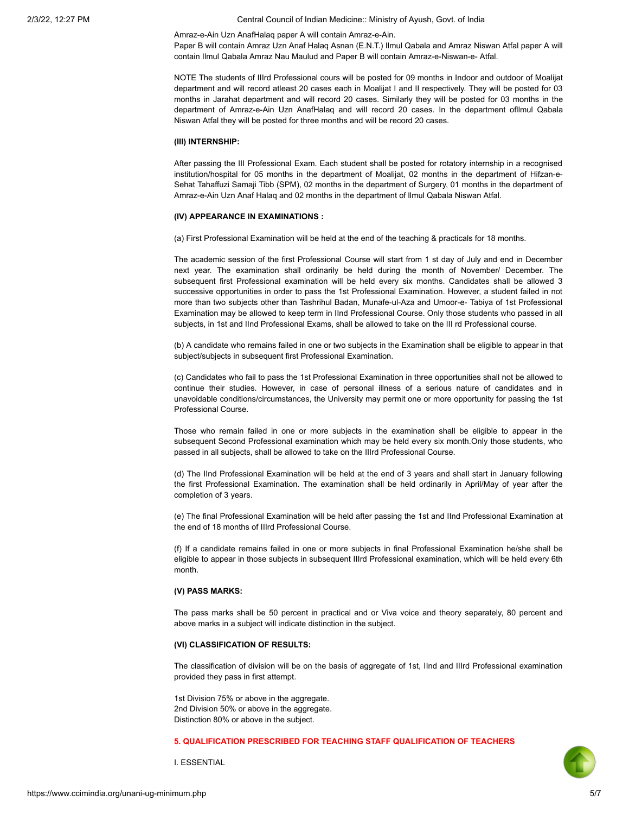Amraz-e-Ain Uzn AnafHalaq paper A will contain Amraz-e-Ain.

Paper B will contain Amraz Uzn Anaf Halaq Asnan (E.N.T.) Ilmul Qabala and Amraz Niswan Atfal paper A will contain Ilmul Qabala Amraz Nau Maulud and Paper B will contain Amraz-e-Niswan-e- Atfal.

NOTE The students of IIIrd Professional cours will be posted for 09 months in Indoor and outdoor of Moalijat department and will record atleast 20 cases each in Moalijat I and II respectively. They will be posted for 03 months in Jarahat department and will record 20 cases. Similarly they will be posted for 03 months in the department of Amraz-e-Ain Uzn AnafHalaq and will record 20 cases. In the department ofllmul Qabala Niswan Atfal they will be posted for three months and will be record 20 cases.

### (III) INTERNSHIP:

After passing the III Professional Exam. Each student shall be posted for rotatory internship in a recognised institution/hospital for 05 months in the department of Moalijat, 02 months in the department of Hifzan-e-Sehat Tahaffuzi Samaji Tibb (SPM), 02 months in the department of Surgery, 01 months in the department of Amraz-e-Ain Uzn Anaf Halaq and 02 months in the department of llmul Qabala Niswan Atfal.

#### (IV) APPEARANCE IN EXAMINATIONS :

(a) First Professional Examination will be held at the end of the teaching & practicals for 18 months.

The academic session of the first Professional Course will start from 1 st day of July and end in December next year. The examination shall ordinarily be held during the month of November/ December. The subsequent first Professional examination will be held every six months. Candidates shall be allowed 3 successive opportunities in order to pass the 1st Professional Examination. However, a student failed in not more than two subjects other than Tashrihul Badan, Munafe-ul-Aza and Umoor-e- Tabiya of 1st Professional Examination may be allowed to keep term in IInd Professional Course. Only those students who passed in all subjects, in 1st and IInd Professional Exams, shall be allowed to take on the III rd Professional course.

(b) A candidate who remains failed in one or two subjects in the Examination shall be eligible to appear in that subject/subjects in subsequent first Professional Examination.

(c) Candidates who fail to pass the 1st Professional Examination in three opportunities shall not be allowed to continue their studies. However, in case of personal illness of a serious nature of candidates and in unavoidable conditions/circumstances, the University may permit one or more opportunity for passing the 1st Professional Course.

Those who remain failed in one or more subjects in the examination shall be eligible to appear in the subsequent Second Professional examination which may be held every six month.Only those students, who passed in all subjects, shall be allowed to take on the IIIrd Professional Course.

(d) The IInd Professional Examination will be held at the end of 3 years and shall start in January following the first Professional Examination. The examination shall be held ordinarily in April/May of year after the completion of 3 years.

(e) The final Professional Examination will be held after passing the 1st and IInd Professional Examination at the end of 18 months of IIIrd Professional Course.

(f) If a candidate remains failed in one or more subjects in final Professional Examination he/she shall be eligible to appear in those subjects in subsequent IIIrd Professional examination, which will be held every 6th month.

### (V) PASS MARKS:

The pass marks shall be 50 percent in practical and or Viva voice and theory separately, 80 percent and above marks in a subject will indicate distinction in the subject.

### (VI) CLASSIFICATION OF RESULTS:

The classification of division will be on the basis of aggregate of 1st, IInd and IIIrd Professional examination provided they pass in first attempt.

1st Division 75% or above in the aggregate. 2nd Division 50% or above in the aggregate. Distinction 80% or above in the subject.

# 5. QUALIFICATION PRESCRIBED FOR TEACHING STAFF QUALIFICATION OF TEACHERS

I. ESSENTIAL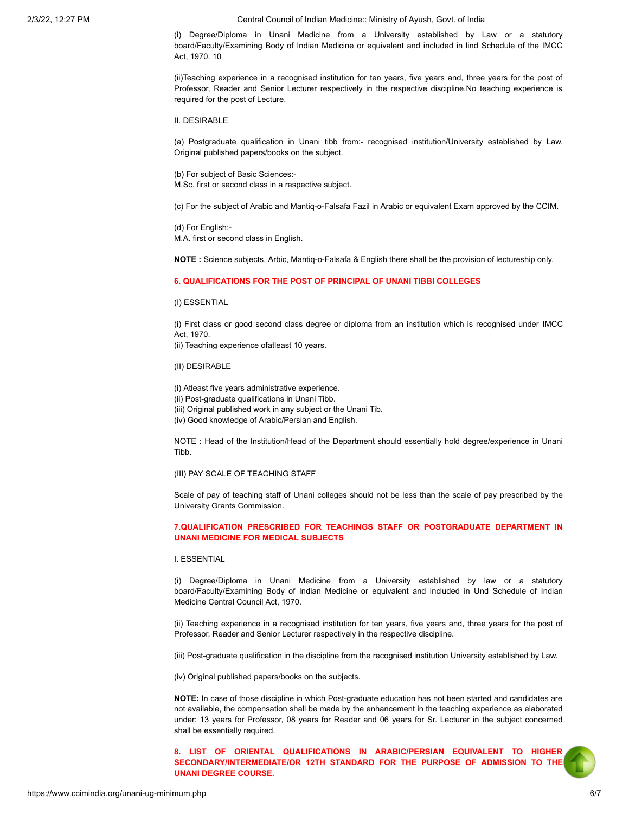(i) Degree/Diploma in Unani Medicine from a University established by Law or a statutory board/Faculty/Examining Body of Indian Medicine or equivalent and included in lind Schedule of the IMCC Act, 1970. 10

(ii)Teaching experience in a recognised institution for ten years, five years and, three years for the post of Professor, Reader and Senior Lecturer respectively in the respective discipline.No teaching experience is required for the post of Lecture.

II. DESIRABLE

(a) Postgraduate qualification in Unani tibb from:- recognised institution/University established by Law. Original published papers/books on the subject.

(b) For subject of Basic Sciences:- M.Sc. first or second class in a respective subject.

(c) For the subject of Arabic and Mantiq-o-Falsafa Fazil in Arabic or equivalent Exam approved by the CCIM.

(d) For English:- M.A. first or second class in English.

NOTE : Science subjects, Arbic, Mantiq-o-Falsafa & English there shall be the provision of lectureship only.

### 6. QUALIFICATIONS FOR THE POST OF PRINCIPAL OF UNANI TIBBI COLLEGES

(I) ESSENTIAL

(i) First class or good second class degree or diploma from an institution which is recognised under IMCC Act, 1970.

(ii) Teaching experience ofatleast 10 years.

(II) DESIRABLE

(i) Atleast five years administrative experience.

- (ii) Post-graduate qualifications in Unani Tibb.
- (iii) Original published work in any subject or the Unani Tib.
- (iv) Good knowledge of Arabic/Persian and English.

NOTE : Head of the Institution/Head of the Department should essentially hold degree/experience in Unani Tibb.

(III) PAY SCALE OF TEACHING STAFF

Scale of pay of teaching staff of Unani colleges should not be less than the scale of pay prescribed by the University Grants Commission.

## 7.QUALIFICATION PRESCRIBED FOR TEACHINGS STAFF OR POSTGRADUATE DEPARTMENT IN UNANI MEDICINE FOR MEDICAL SUBJECTS

## I. ESSENTIAL

(i) Degree/Diploma in Unani Medicine from a University established by law or a statutory board/Faculty/Examining Body of Indian Medicine or equivalent and included in Und Schedule of Indian Medicine Central Council Act, 1970.

(ii) Teaching experience in a recognised institution for ten years, five years and, three years for the post of Professor, Reader and Senior Lecturer respectively in the respective discipline.

(iii) Post-graduate qualification in the discipline from the recognised institution University established by Law.

(iv) Original published papers/books on the subjects.

NOTE: In case of those discipline in which Post-graduate education has not been started and candidates are not available, the compensation shall be made by the enhancement in the teaching experience as elaborated under: 13 years for Professor, 08 years for Reader and 06 years for Sr. Lecturer in the subject concerned shall be essentially required.

8. LIST OF ORIENTAL QUALIFICATIONS IN ARABIC/PERSIAN EQUIVALENT TO HIGHER SECONDARY/INTERMEDIATE/OR 12TH STANDARD FOR THE PURPOSE OF ADMISSION TO THE UNANI DEGREE COURSE.